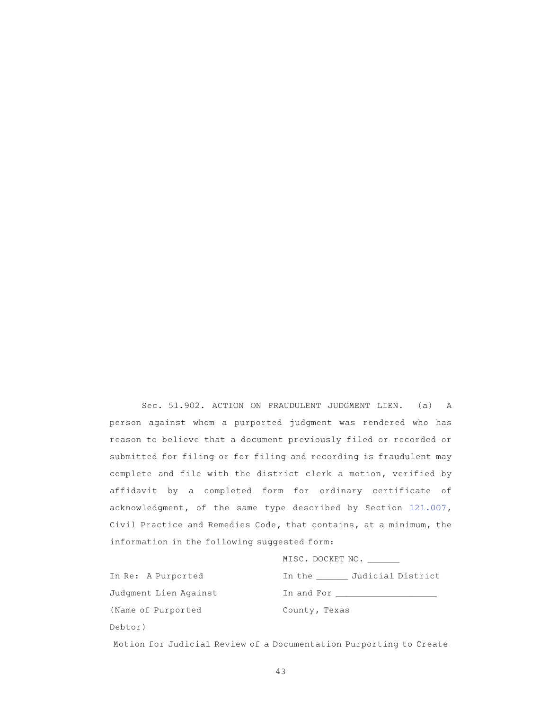Sec. 51.902. ACTION ON FRAUDULENT JUDGMENT LIEN. (a) A person against whom a purported judgment was rendered who has reason to believe that a document previously filed or recorded or submitted for filing or for filing and recording is fraudulent may complete and file with the district clerk a motion, verified by affidavit by a completed form for ordinary certificate of acknowledgment, of the same type described by Section 121.007, Civil Practice and Remedies Code, that contains, at a minimum, the information in the following suggested form:

MISC. DOCKET NO.

| In Re: A Purported    | In the Judicial District |
|-----------------------|--------------------------|
| Judgment Lien Against | In and For               |
| (Name of Purported    | County, Texas            |
| Debtor)               |                          |

Motion for Judicial Review of a Documentation Purporting to Create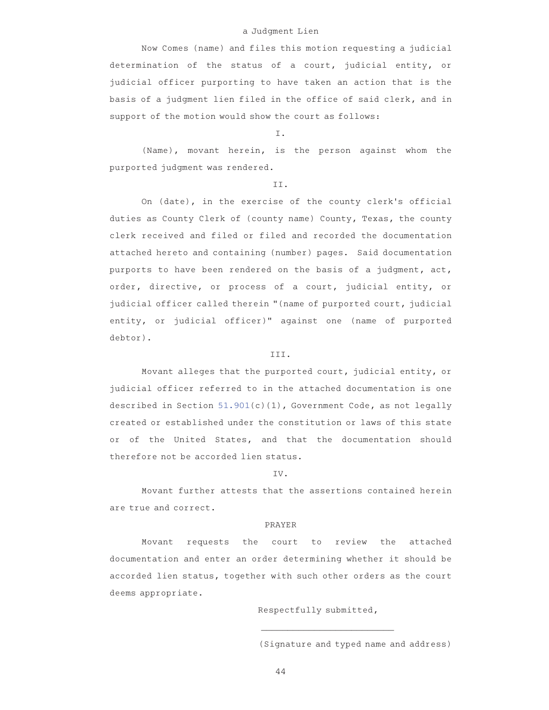### a Judgment Lien

Now Comes (name) and files this motion requesting a judicial determination of the status of a court, judicial entity, or judicial officer purporting to have taken an action that is the basis of a judgment lien filed in the office of said clerk, and in support of the motion would show the court as follows:

# I.

(Name), movant herein, is the person against whom the purported judgment was rendered.

#### II.

On (date), in the exercise of the county clerk's official duties as County Clerk of (county name) County, Texas, the county clerk received and filed or filed and recorded the documentation attached hereto and containing (number) pages. Said documentation purports to have been rendered on the basis of a judgment, act, order, directive, or process of a court, judicial entity, or judicial officer called therein "(name of purported court, judicial entity, or judicial officer)" against one (name of purported debtor).

### III.

Movant alleges that the purported court, judicial entity, or judicial officer referred to in the attached documentation is one described in Section 51.901(c)(1), Government Code, as not legally created or established under the constitution or laws of this state or of the United States, and that the documentation should therefore not be accorded lien status.

#### IV.

Movant further attests that the assertions contained herein are true and correct.

#### PRAYER

Movant requests the court to review the attached documentation and enter an order determining whether it should be accorded lien status, together with such other orders as the court deems appropriate.

Respectfully submitted,

\_\_\_\_\_\_\_\_\_\_\_\_\_\_\_\_\_\_\_\_\_\_\_\_\_AAAAAAAAAAA (Signature and typed name and address)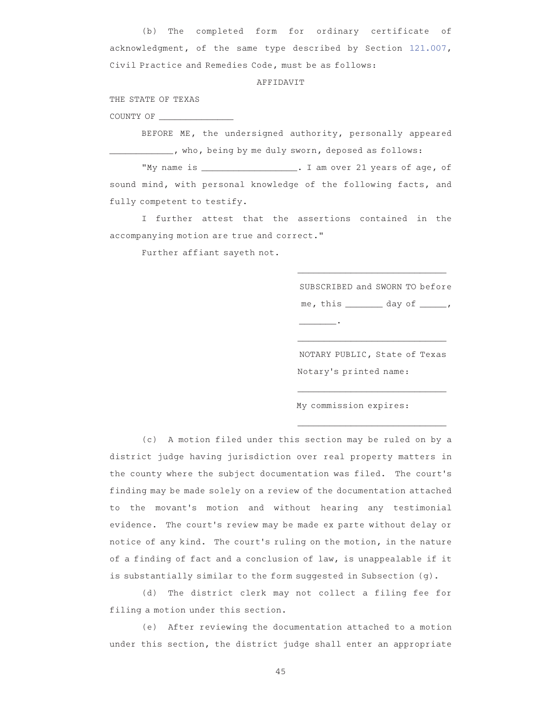(b) The completed form for ordinary certificate of acknowledgment, of the same type described by Section 121.007, Civil Practice and Remedies Code, must be as follows:

### AFFIDAVIT

THE STATE OF TEXAS

COUNTY OF \_\_\_\_\_\_\_\_\_\_\_\_\_\_

BEFORE ME, the undersigned authority, personally appeared who, being by me duly sworn, deposed as follows:

"My name is \_\_\_\_\_\_\_\_\_\_\_\_\_\_\_\_\_\_. I am over 21 years of age, of sound mind, with personal knowledge of the following facts, and fully competent to testify.

I further attest that the assertions contained in the accompanying motion are true and correct."

Further affiant sayeth not.

SUBSCRIBED and SWORN TO before me, this \_\_\_\_\_\_\_\_ day of \_\_\_\_\_, \_\_\_\_\_\_\_.AAAAAAAAAAAAAAAAAAAAA

\_\_\_\_\_\_\_\_\_\_\_\_\_\_\_\_\_\_\_\_\_\_\_\_\_\_\_\_A

NOTARY PUBLIC, State of Texas Notary's printed name:

\_\_\_\_\_\_\_\_\_\_\_\_\_\_\_\_\_\_\_\_\_\_\_\_\_\_\_\_A

\_\_\_\_\_\_\_\_\_\_\_\_\_\_\_\_\_\_\_\_\_\_\_\_\_\_\_\_A

\_\_\_\_\_\_\_\_\_\_\_\_\_\_\_\_\_\_\_\_\_\_\_\_\_\_\_\_A

My commission expires:

(c) A motion filed under this section may be ruled on by a district judge having jurisdiction over real property matters in the county where the subject documentation was filed. The court 's finding may be made solely on a review of the documentation attached to the movant 's motion and without hearing any testimonial evidence. The court 's review may be made ex parte without delay or notice of any kind. The court 's ruling on the motion, in the nature of a finding of fact and a conclusion of law, is unappealable if it is substantially similar to the form suggested in Subsection (g).

(d) The district clerk may not collect a filing fee for filing a motion under this section.

(e) After reviewing the documentation attached to a motion under this section, the district judge shall enter an appropriate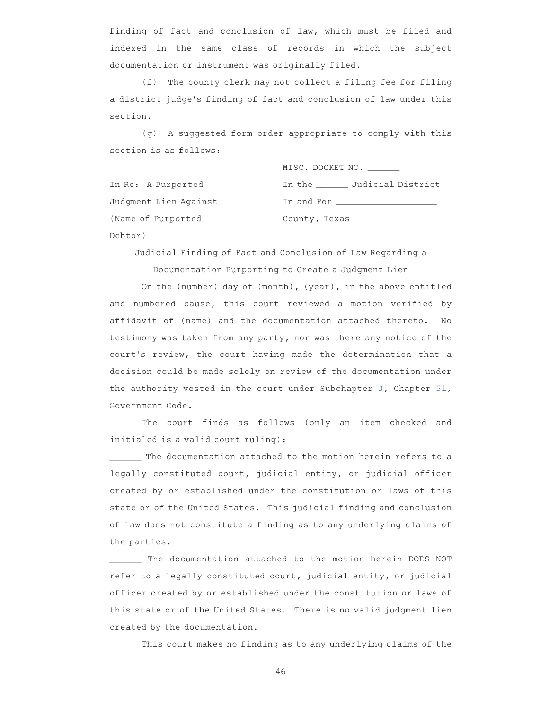finding of fact and conclusion of law, which must be filed and indexed in the same class of records in which the subject documentation or instrument was originally filed.

(f) The county clerk may not collect a filing fee for filing a district judge 's finding of fact and conclusion of law under this section.

(g)AAA suggested form order appropriate to comply with this section is as follows:

|                       | MISC. DOCKET NO.                                                                                               |
|-----------------------|----------------------------------------------------------------------------------------------------------------|
| In Re: A Purported    | In the Judicial District                                                                                       |
| Judgment Lien Against | In and Formal particles and the set of the set of the set of the set of the set of the set of the set of the s |
| (Name of Purported    | County, Texas                                                                                                  |
| Debtor)               |                                                                                                                |

Judicial Finding of Fact and Conclusion of Law Regarding a Documentation Purporting to Create a Judgment Lien

On the (number) day of (month), (year), in the above entitled and numbered cause, this court reviewed a motion verified by affidavit of (name) and the documentation attached thereto. No testimony was taken from any party, nor was there any notice of the court 's review, the court having made the determination that a decision could be made solely on review of the documentation under the authority vested in the court under Subchapter J, Chapter 51, Government Code.

The court finds as follows (only an item checked and initialed is a valid court ruling):

\_\_\_\_\_\_ The documentation attached to the motion herein refers to a legally constituted court, judicial entity, or judicial officer created by or established under the constitution or laws of this state or of the United States. This judicial finding and conclusion of law does not constitute a finding as to any underlying claims of the parties.

The documentation attached to the motion herein DOES NOT refer to a legally constituted court, judicial entity, or judicial officer created by or established under the constitution or laws of this state or of the United States. There is no valid judgment lien created by the documentation.

This court makes no finding as to any underlying claims of the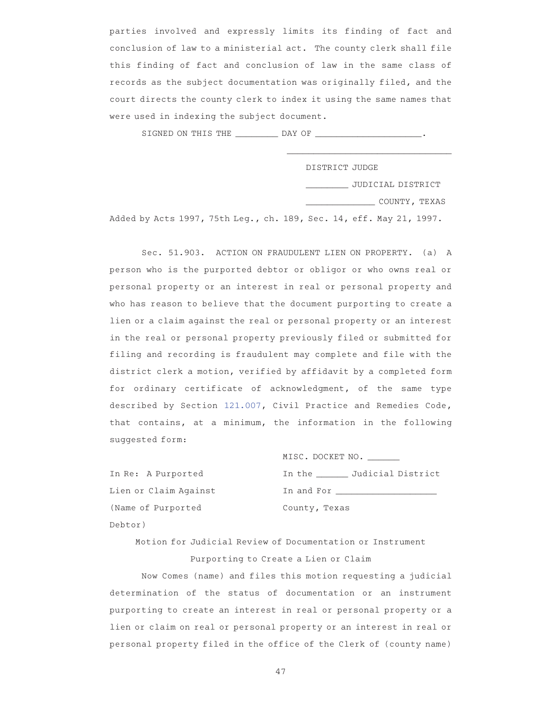parties involved and expressly limits its finding of fact and conclusion of law to a ministerial act. The county clerk shall file this finding of fact and conclusion of law in the same class of records as the subject documentation was originally filed, and the court directs the county clerk to index it using the same names that were used in indexing the subject document.

SIGNED ON THIS THE \_\_\_\_\_\_\_\_ DAY OF \_\_\_\_\_\_\_\_\_\_\_\_\_\_\_\_\_\_\_\_.

| DISTRICT JUDGE |                   |  |
|----------------|-------------------|--|
|                | JUDICIAL DISTRICT |  |
|                | COUNTY, TEXAS     |  |

\_\_\_\_\_\_\_\_\_\_\_\_\_\_\_\_\_\_\_\_\_\_\_\_\_\_\_\_\_\_\_

Added by Acts 1997, 75th Leg., ch. 189, Sec. 14, eff. May 21, 1997.

Sec. 51.903. ACTION ON FRAUDULENT LIEN ON PROPERTY. (a) A person who is the purported debtor or obligor or who owns real or personal property or an interest in real or personal property and who has reason to believe that the document purporting to create a lien or a claim against the real or personal property or an interest in the real or personal property previously filed or submitted for filing and recording is fraudulent may complete and file with the district clerk a motion, verified by affidavit by a completed form for ordinary certificate of acknowledgment, of the same type described by Section 121.007, Civil Practice and Remedies Code, that contains, at a minimum, the information in the following suggested form:

| MISC. DOCKET NO.         |
|--------------------------|
| In the 5udicial District |
|                          |
| County, Texas            |

Motion for Judicial Review of Documentation or Instrument Purporting to Create a Lien or Claim

In Re: A Purported Lien or Claim Against

(Name of Purported

Debtor)

Now Comes (name) and files this motion requesting a judicial determination of the status of documentation or an instrument purporting to create an interest in real or personal property or a lien or claim on real or personal property or an interest in real or personal property filed in the office of the Clerk of (county name)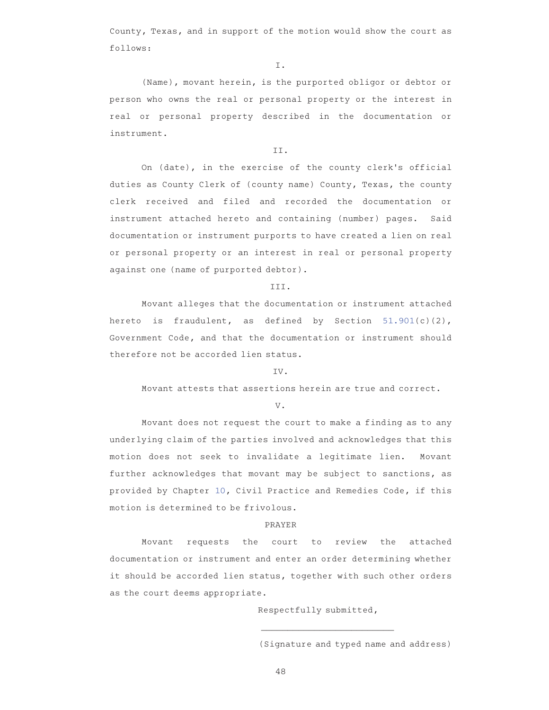County, Texas, and in support of the motion would show the court as follows:

I.

(Name), movant herein, is the purported obligor or debtor or person who owns the real or personal property or the interest in real or personal property described in the documentation or instrument.

## II.

On (date), in the exercise of the county clerk's official duties as County Clerk of (county name) County, Texas, the county clerk received and filed and recorded the documentation or instrument attached hereto and containing (number) pages. Said documentation or instrument purports to have created a lien on real or personal property or an interest in real or personal property against one (name of purported debtor).

## III.

Movant alleges that the documentation or instrument attached hereto is fraudulent, as defined by Section 51.901(c)(2), Government Code, and that the documentation or instrument should therefore not be accorded lien status.

## IV.

Movant attests that assertions herein are true and correct.

V.

Movant does not request the court to make a finding as to any underlying claim of the parties involved and acknowledges that this motion does not seek to invalidate a legitimate lien. Movant further acknowledges that movant may be subject to sanctions, as provided by Chapter 10, Civil Practice and Remedies Code, if this motion is determined to be frivolous.

#### PRAYER

Movant requests the court to review the attached documentation or instrument and enter an order determining whether it should be accorded lien status, together with such other orders as the court deems appropriate.

Respectfully submitted,

\_\_\_\_\_\_\_\_\_\_\_\_\_\_\_\_\_\_\_\_\_\_\_\_\_AAAAAAAAAAA (Signature and typed name and address)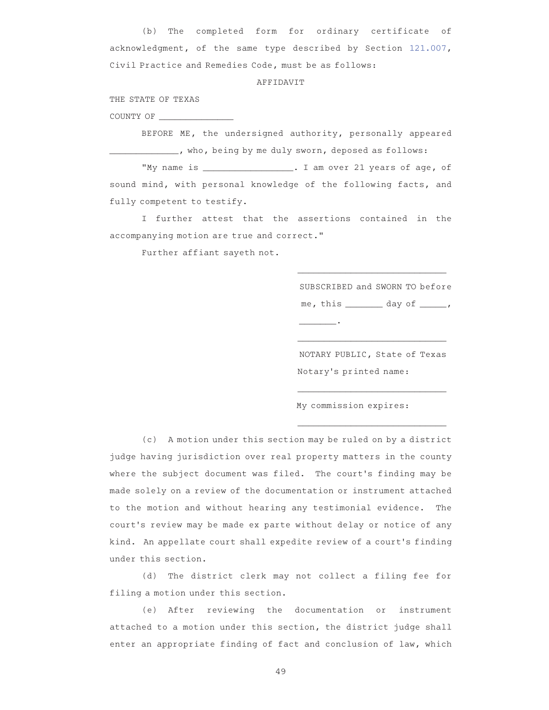(b) The completed form for ordinary certificate of acknowledgment, of the same type described by Section 121.007, Civil Practice and Remedies Code, must be as follows:

## AFFIDAVIT

THE STATE OF TEXAS

COUNTY OF \_\_\_\_\_\_\_\_\_\_\_\_\_\_

BEFORE ME, the undersigned authority, personally appeared who, being by me duly sworn, deposed as follows:

"My name is \_\_\_\_\_\_\_\_\_\_\_\_\_\_\_\_\_. I am over 21 years of age, of sound mind, with personal knowledge of the following facts, and fully competent to testify.

I further attest that the assertions contained in the accompanying motion are true and correct."

Further affiant sayeth not.

SUBSCRIBED and SWORN TO before me, this \_\_\_\_\_\_\_\_ day of \_\_\_\_\_, \_\_\_\_\_\_\_.AAAAAAAAAAAAAAAAAAAAA

\_\_\_\_\_\_\_\_\_\_\_\_\_\_\_\_\_\_\_\_\_\_\_\_\_\_\_\_A

NOTARY PUBLIC, State of Texas Notary's printed name:

\_\_\_\_\_\_\_\_\_\_\_\_\_\_\_\_\_\_\_\_\_\_\_\_\_\_\_\_A

\_\_\_\_\_\_\_\_\_\_\_\_\_\_\_\_\_\_\_\_\_\_\_\_\_\_\_\_A

\_\_\_\_\_\_\_\_\_\_\_\_\_\_\_\_\_\_\_\_\_\_\_\_\_\_\_\_A

My commission expires:

(c) A motion under this section may be ruled on by a district judge having jurisdiction over real property matters in the county where the subject document was filed. The court's finding may be made solely on a review of the documentation or instrument attached to the motion and without hearing any testimonial evidence. The court 's review may be made ex parte without delay or notice of any kind. An appellate court shall expedite review of a court 's finding under this section.

(d) The district clerk may not collect a filing fee for filing a motion under this section.

(e) After reviewing the documentation or instrument attached to a motion under this section, the district judge shall enter an appropriate finding of fact and conclusion of law, which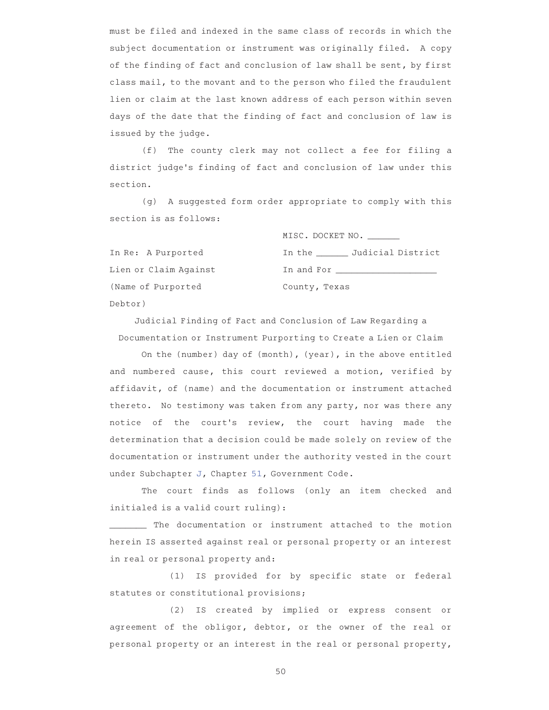must be filed and indexed in the same class of records in which the subject documentation or instrument was originally filed. A copy of the finding of fact and conclusion of law shall be sent, by first class mail, to the movant and to the person who filed the fraudulent lien or claim at the last known address of each person within seven days of the date that the finding of fact and conclusion of law is issued by the judge.

(f) The county clerk may not collect a fee for filing a district judge 's finding of fact and conclusion of law under this section.

(g) A suggested form order appropriate to comply with this section is as follows:

|                       | MISC. DOCKET NO.                                                                                               |
|-----------------------|----------------------------------------------------------------------------------------------------------------|
| In Re: A Purported    | In the Judicial District                                                                                       |
| Lien or Claim Against | In and Formal states and states and states and states are the states of the states of the states of the states |
| (Name of Purported    | County, Texas                                                                                                  |
| Debtor)               |                                                                                                                |

Judicial Finding of Fact and Conclusion of Law Regarding a Documentation or Instrument Purporting to Create a Lien or Claim

On the (number) day of (month), (year), in the above entitled and numbered cause, this court reviewed a motion, verified by affidavit, of (name) and the documentation or instrument attached thereto. No testimony was taken from any party, nor was there any notice of the court 's review, the court having made the determination that a decision could be made solely on review of the documentation or instrument under the authority vested in the court under Subchapter J, Chapter 51, Government Code.

The court finds as follows (only an item checked and initialed is a valid court ruling):

\_\_\_\_\_\_\_ The documentation or instrument attached to the motion herein IS asserted against real or personal property or an interest in real or personal property and:

(1) IS provided for by specific state or federal statutes or constitutional provisions;

(2) IS created by implied or express consent or agreement of the obligor, debtor, or the owner of the real or personal property or an interest in the real or personal property,